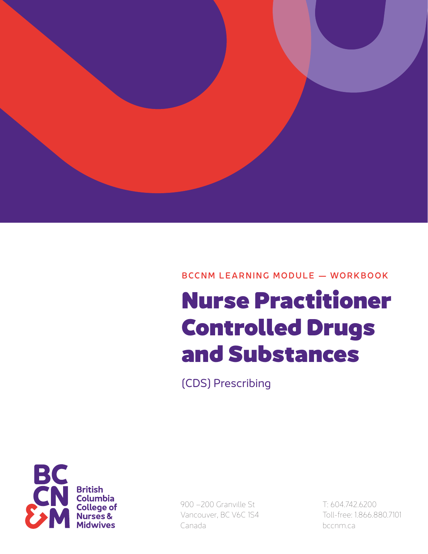

BCCNM LEARNING MODULE — WORKBOOK

# Nurse Practitioner Controlled Drugs and Substances

(CDS) Prescribing



900 –200 Granville St Vancouver, BC V6C 1S4 Canada

T: 604.742.6200 Toll-free: 1.866.880.7101 bccnm.ca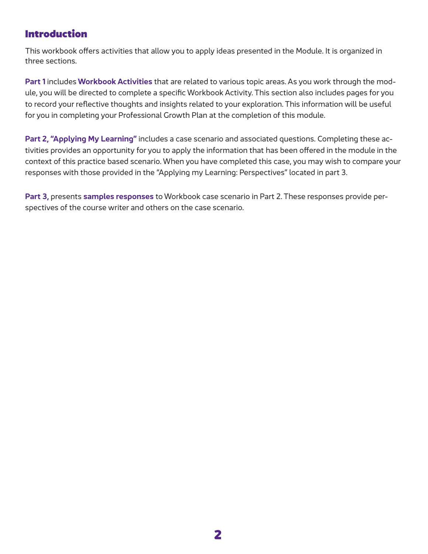# Introduction

This workbook offers activities that allow you to apply ideas presented in the Module. It is organized in three sections.

**Part 1** includes **Workbook Activities** that are related to various topic areas. As you work through the module, you will be directed to complete a specific Workbook Activity. This section also includes pages for you to record your reflective thoughts and insights related to your exploration. This information will be useful for you in completing your Professional Growth Plan at the completion of this module.

**Part 2, "Applying My Learning"** includes a case scenario and associated questions. Completing these activities provides an opportunity for you to apply the information that has been offered in the module in the context of this practice based scenario. When you have completed this case, you may wish to compare your responses with those provided in the "Applying my Learning: Perspectives" located in part 3.

**Part 3,** presents **samples responses** to Workbook case scenario in Part 2. These responses provide perspectives of the course writer and others on the case scenario.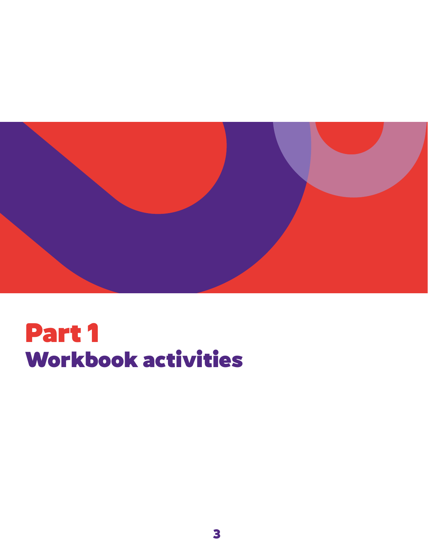

# Part 1 Workbook activities

**3**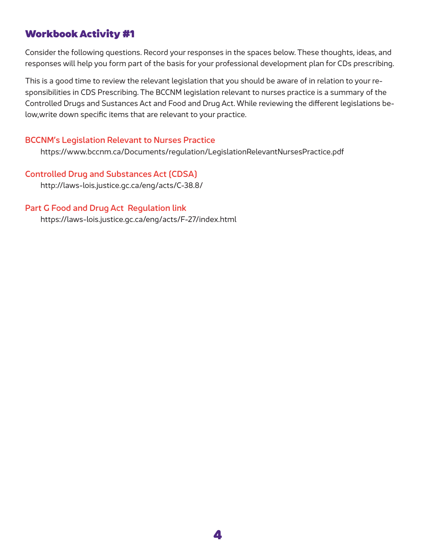Consider the following questions. Record your responses in the spaces below. These thoughts, ideas, and responses will help you form part of the basis for your professional development plan for CDs prescribing.

This is a good time to review the relevant legislation that you should be aware of in relation to your responsibilities in CDS Prescribing. The BCCNM legislation relevant to nurses practice is a summary of the Controlled Drugs and Sustances Act and Food and Drug Act. While reviewing the different legislations below,write down specific items that are relevant to your practice.

#### BCCNM's Legislation Relevant to Nurses Practice

https://www.bccnm.ca/Documents/regulation/LegislationRelevantNursesPractice.pdf

# Controlled Drug and Substances Act (CDSA)

http://laws-lois.justice.gc.ca/eng/acts/C-38.8/

#### Part G Food and Drug Act Regulation link

https://laws-lois.justice.gc.ca/eng/acts/F-27/index.html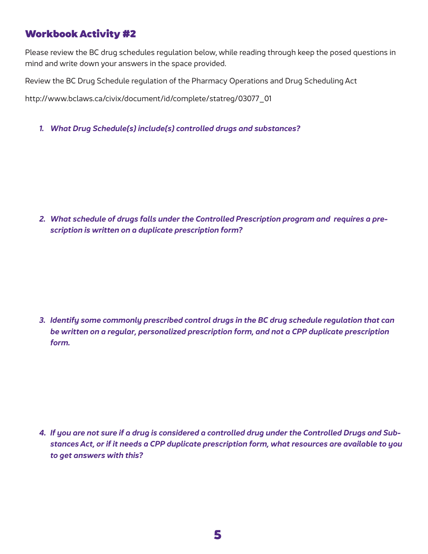Please review the BC drug schedules regulation below, while reading through keep the posed questions in mind and write down your answers in the space provided.

Review the BC Drug Schedule regulation of the Pharmacy Operations and Drug Scheduling Act

http://www.bclaws.ca/civix/document/id/complete/statreg/03077\_01

*1. What Drug Schedule(s) include(s) controlled drugs and substances?* 

*2. What schedule of drugs falls under the Controlled Prescription program and requires a prescription is written on a duplicate prescription form?*

*3. Identify some commonly prescribed control drugs in the BC drug schedule regulation that can be written on a regular, personalized prescription form, and not a CPP duplicate prescription form.* 

*4. If you are not sure if a drug is considered a controlled drug under the Controlled Drugs and Substances Act, or if it needs a CPP duplicate prescription form, what resources are available to you to get answers with this?*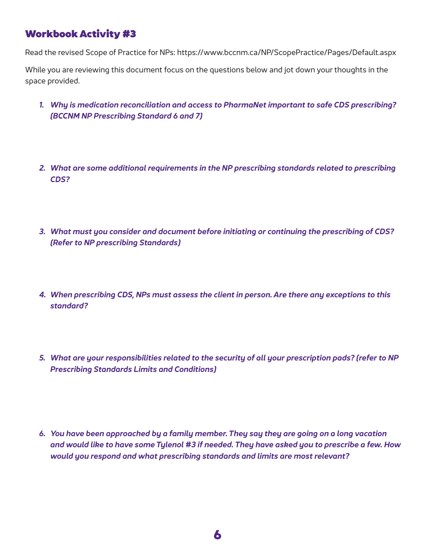Read the revised Scope of Practice for NPs: https://www.bccnm.ca/NP/ScopePractice/Pages/Default.aspx

While you are reviewing this document focus on the questions below and jot down your thoughts in the space provided.

- *1. Why is medication reconciliation and access to PharmaNet important to safe CDS prescribing? (BCCNM NP Prescribing Standard 6 and 7)*
- *2. What are some additional requirements in the NP prescribing standards related to prescribing CDS?*
- *3. What must you consider and document before initiating or continuing the prescribing of CDS? (Refer to NP prescribing Standards)*
- *4. When prescribing CDS, NPs must assess the client in person. Are there any exceptions to this standard?*
- *5. What are your responsibilities related to the security of all your prescription pads? (refer to NP Prescribing Standards Limits and Conditions)*
- *6. You have been approached by a family member. They say they are going on a long vacation and would like to have some Tylenol #3 if needed. They have asked you to prescribe a few. How would you respond and what prescribing standards and limits are most relevant?*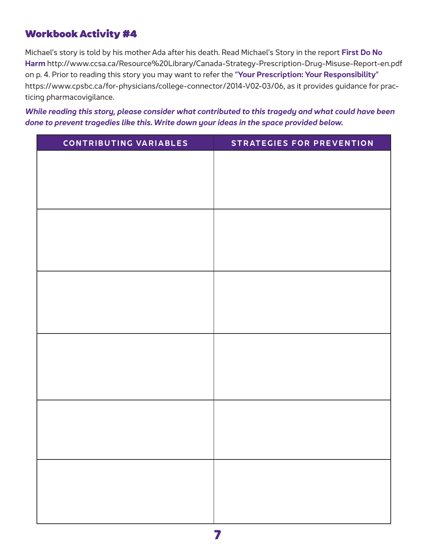Michael's story is told by his mother Ada after his death. Read Michael's Story in the report **First Do No Harm** http://www.ccsa.ca/Resource%20Library/Canada-Strategy-Prescription-Drug-Misuse-Report-en.pdf on p. 4. Prior to reading this story you may want to refer the "**Your Prescription: Your Responsibility**" https://www.cpsbc.ca/for-physicians/college-connector/2014-V02-03/06, as it provides guidance for practicing pharmacovigilance.

*While reading this story, please consider what contributed to this tragedy and what could have been done to prevent tragedies like this. Write down your ideas in the space provided below.* 

| CONTRIBUTING VARIABLES | <b>STRATEGIES FOR PREVENTION</b> |
|------------------------|----------------------------------|
|                        |                                  |
|                        |                                  |
|                        |                                  |
|                        |                                  |
|                        |                                  |
|                        |                                  |
|                        |                                  |
|                        |                                  |
|                        |                                  |
|                        |                                  |
|                        |                                  |
|                        |                                  |
|                        |                                  |
|                        |                                  |
|                        |                                  |
|                        |                                  |
|                        |                                  |
|                        |                                  |
|                        |                                  |
|                        |                                  |
|                        |                                  |
|                        |                                  |
|                        |                                  |
|                        |                                  |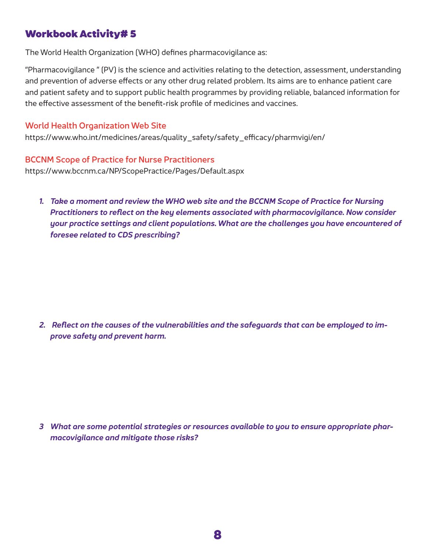The World Health Organization (WHO) defines pharmacovigilance as:

"Pharmacovigilance " (PV) is the science and activities relating to the detection, assessment, understanding and prevention of adverse effects or any other drug related problem. Its aims are to enhance patient care and patient safety and to support public health programmes by providing reliable, balanced information for the effective assessment of the benefit-risk profile of medicines and vaccines.

#### World Health Organization Web Site

https://www.who.int/medicines/areas/quality\_safety/safety\_efficacy/pharmvigi/en/

#### BCCNM Scope of Practice for Nurse Practitioners

https://www.bccnm.ca/NP/ScopePractice/Pages/Default.aspx

*1. Take a moment and review the WHO web site and the BCCNM Scope of Practice for Nursing Practitioners to reflect on the key elements associated with pharmacovigilance. Now consider your practice settings and client populations. What are the challenges you have encountered of foresee related to CDS prescribing?* 

*2. Reflect on the causes of the vulnerabilities and the safeguards that can be employed to improve safety and prevent harm.* 

*3 What are some potential strategies or resources available to you to ensure appropriate pharmacovigilance and mitigate those risks?*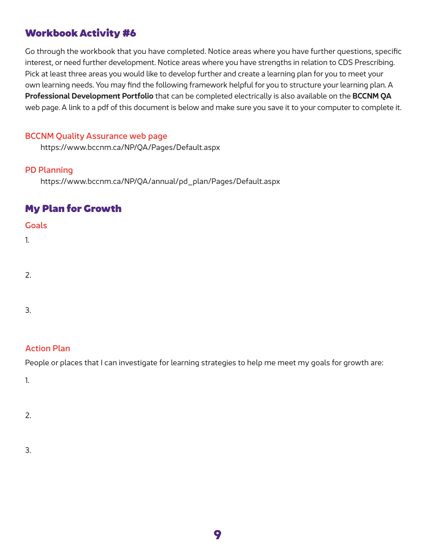Go through the workbook that you have completed. Notice areas where you have further questions, specific interest, or need further development. Notice areas where you have strengths in relation to CDS Prescribing. Pick at least three areas you would like to develop further and create a learning plan for you to meet your own learning needs. You may find the following framework helpful for you to structure your learning plan. A **Professional Development Portfolio** that can be completed electrically is also available on the **BCCNM QA** web page. A link to a pdf of this document is below and make sure you save it to your computer to complete it.

#### BCCNM Quality Assurance web page

https://www.bccnm.ca/NP/QA/Pages/Default.aspx

#### PD Planning

https://www.bccnm.ca/NP/QA/annual/pd\_plan/Pages/Default.aspx

### My Plan for Growth

#### **Goals**

1.

2.

3.

#### Action Plan

People or places that I can investigate for learning strategies to help me meet my goals for growth are:

1.

#### 2.

3.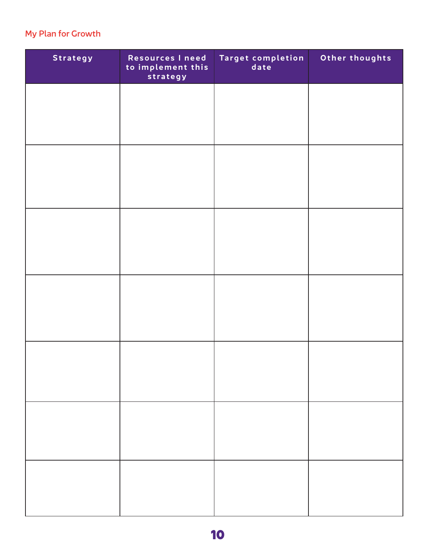### My Plan for Growth

| Strategy | Resources I need<br>to implement this<br>strategy | Target completion<br>date | Other thoughts |
|----------|---------------------------------------------------|---------------------------|----------------|
|          |                                                   |                           |                |
|          |                                                   |                           |                |
|          |                                                   |                           |                |
|          |                                                   |                           |                |
|          |                                                   |                           |                |
|          |                                                   |                           |                |
|          |                                                   |                           |                |
|          |                                                   |                           |                |
|          |                                                   |                           |                |
|          |                                                   |                           |                |
|          |                                                   |                           |                |
|          |                                                   |                           |                |
|          |                                                   |                           |                |
|          |                                                   |                           |                |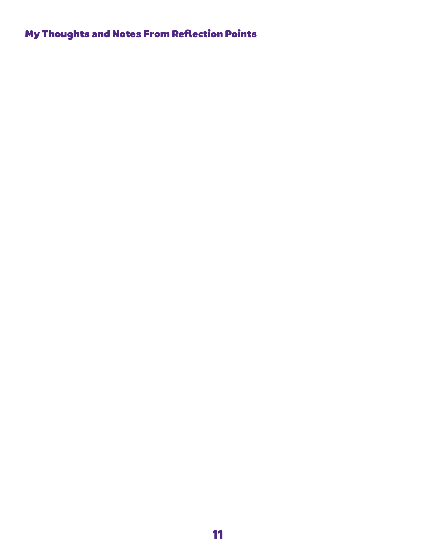# My Thoughts and Notes From Reflection Points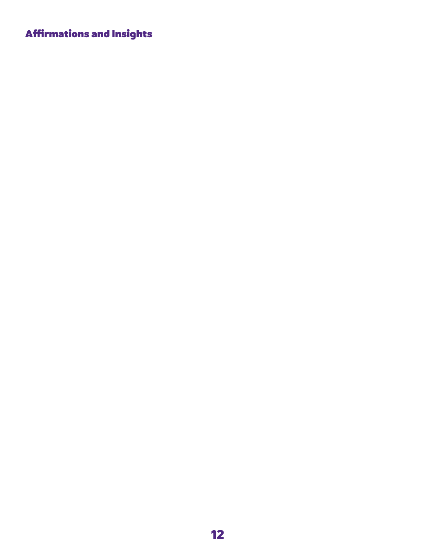# Affirmations and Insights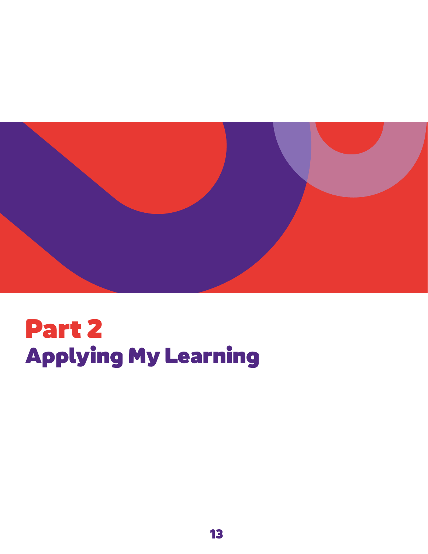

# Part 2 Applying My Learning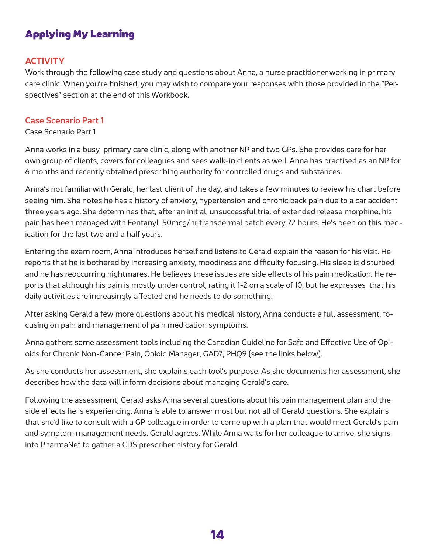# Applying My Learning

#### **ACTIVITY**

Work through the following case study and questions about Anna, a nurse practitioner working in primary care clinic. When you're finished, you may wish to compare your responses with those provided in the "Perspectives" section at the end of this Workbook.

#### Case Scenario Part 1

Case Scenario Part 1

Anna works in a busy primary care clinic, along with another NP and two GPs. She provides care for her own group of clients, covers for colleagues and sees walk-in clients as well. Anna has practised as an NP for 6 months and recently obtained prescribing authority for controlled drugs and substances.

Anna's not familiar with Gerald, her last client of the day, and takes a few minutes to review his chart before seeing him. She notes he has a history of anxiety, hypertension and chronic back pain due to a car accident three years ago. She determines that, after an initial, unsuccessful trial of extended release morphine, his pain has been managed with Fentanyl 50mcg/hr transdermal patch every 72 hours. He's been on this medication for the last two and a half years.

Entering the exam room, Anna introduces herself and listens to Gerald explain the reason for his visit. He reports that he is bothered by increasing anxiety, moodiness and difficulty focusing. His sleep is disturbed and he has reoccurring nightmares. He believes these issues are side effects of his pain medication. He reports that although his pain is mostly under control, rating it 1-2 on a scale of 10, but he expresses that his daily activities are increasingly affected and he needs to do something.

After asking Gerald a few more questions about his medical history, Anna conducts a full assessment, focusing on pain and management of pain medication symptoms.

Anna gathers some assessment tools including the Canadian Guideline for Safe and Effective Use of Opioids for Chronic Non-Cancer Pain, Opioid Manager, GAD7, PHQ9 (see the links below).

As she conducts her assessment, she explains each tool's purpose. As she documents her assessment, she describes how the data will inform decisions about managing Gerald's care.

Following the assessment, Gerald asks Anna several questions about his pain management plan and the side effects he is experiencing. Anna is able to answer most but not all of Gerald questions. She explains that she'd like to consult with a GP colleague in order to come up with a plan that would meet Gerald's pain and symptom management needs. Gerald agrees. While Anna waits for her colleague to arrive, she signs into PharmaNet to gather a CDS prescriber history for Gerald.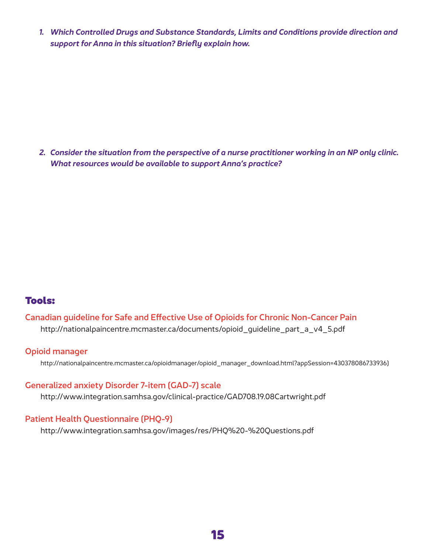*1. Which Controlled Drugs and Substance Standards, Limits and Conditions provide direction and support for Anna in this situation? Briefly explain how.*

*2. Consider the situation from the perspective of a nurse practitioner working in an NP only clinic. What resources would be available to support Anna's practice?*

### Tools:

### Canadian guideline for Safe and Effective Use of Opioids for Chronic Non-Cancer Pain

http://nationalpaincentre.mcmaster.ca/documents/opioid\_guideline\_part\_a\_v4\_5.pdf

#### Opioid manager

http://nationalpaincentre.mcmaster.ca/opioidmanager/opioid\_manager\_download.html?appSession=430378086733936)

#### Generalized anxiety Disorder 7-item (GAD-7) scale

http://www.integration.samhsa.gov/clinical-practice/GAD708.19.08Cartwright.pdf

#### Patient Health Questionnaire (PHQ-9)

http://www.integration.samhsa.gov/images/res/PHQ%20-%20Questions.pdf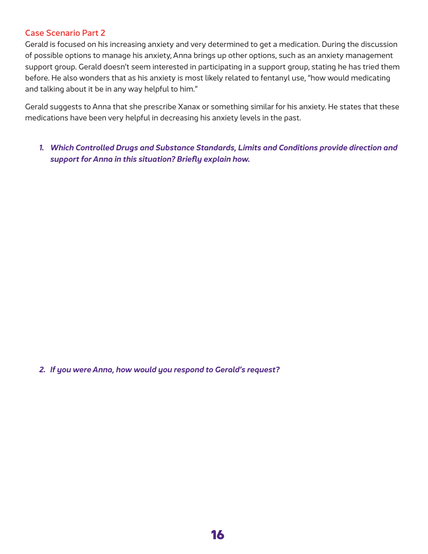#### Case Scenario Part 2

Gerald is focused on his increasing anxiety and very determined to get a medication. During the discussion of possible options to manage his anxiety, Anna brings up other options, such as an anxiety management support group. Gerald doesn't seem interested in participating in a support group, stating he has tried them before. He also wonders that as his anxiety is most likely related to fentanyl use, "how would medicating and talking about it be in any way helpful to him."

Gerald suggests to Anna that she prescribe Xanax or something similar for his anxiety. He states that these medications have been very helpful in decreasing his anxiety levels in the past.

*1. Which Controlled Drugs and Substance Standards, Limits and Conditions provide direction and support for Anna in this situation? Briefly explain how.*

*2. If you were Anna, how would you respond to Gerald's request?*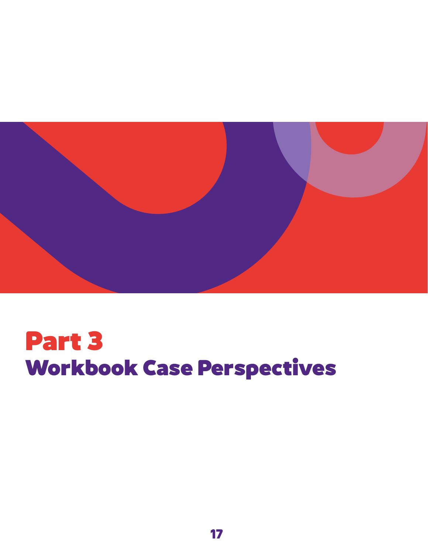

# Part 3 Workbook Case Perspectives

**17**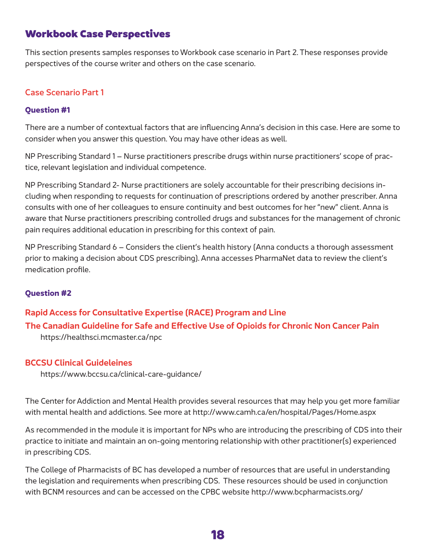# Workbook Case Perspectives

This section presents samples responses to Workbook case scenario in Part 2. These responses provide perspectives of the course writer and others on the case scenario.

#### Case Scenario Part 1

#### **Question #1**

There are a number of contextual factors that are influencing Anna's decision in this case. Here are some to consider when you answer this question. You may have other ideas as well.

NP Prescribing Standard 1 – Nurse practitioners prescribe drugs within nurse practitioners' scope of practice, relevant legislation and individual competence.

NP Prescribing Standard 2- Nurse practitioners are solely accountable for their prescribing decisions including when responding to requests for continuation of prescriptions ordered by another prescriber. Anna consults with one of her colleagues to ensure continuity and best outcomes for her "new" client. Anna is aware that Nurse practitioners prescribing controlled drugs and substances for the management of chronic pain requires additional education in prescribing for this context of pain.

NP Prescribing Standard 6 – Considers the client's health history (Anna conducts a thorough assessment prior to making a decision about CDS prescribing). Anna accesses PharmaNet data to review the client's medication profile.

#### **Question #2**

# **Rapid Access for Consultative Expertise (RACE) Program and Line The Canadian Guideline for Safe and Effective Use of Opioids for Chronic Non Cancer Pain**

https://healthsci.mcmaster.ca/npc

#### **BCCSU Clinical Guideleines**

https://www.bccsu.ca/clinical-care-guidance/

The Center for Addiction and Mental Health provides several resources that may help you get more familiar with mental health and addictions. See more at http://www.camh.ca/en/hospital/Pages/Home.aspx

As recommended in the module it is important for NPs who are introducing the prescribing of CDS into their practice to initiate and maintain an on-going mentoring relationship with other practitioner(s) experienced in prescribing CDS.

The College of Pharmacists of BC has developed a number of resources that are useful in understanding the legislation and requirements when prescribing CDS. These resources should be used in conjunction with BCNM resources and can be accessed on the CPBC website http://www.bcpharmacists.org/